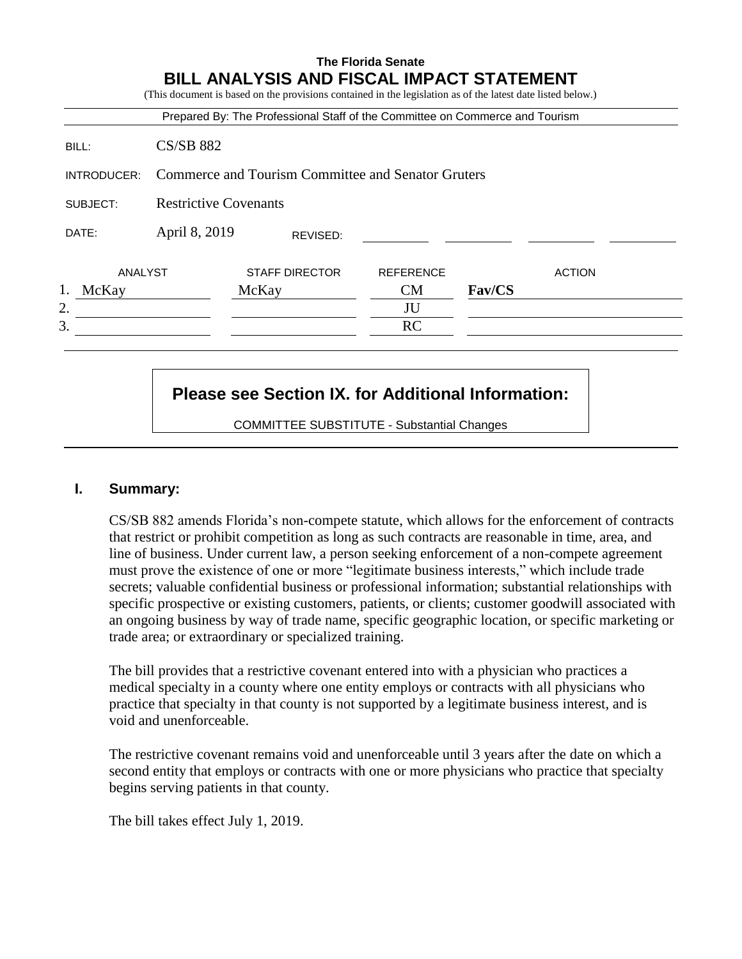|             |                                                    | Prepared By: The Professional Staff of the Committee on Commerce and Tourism |                  |               |               |
|-------------|----------------------------------------------------|------------------------------------------------------------------------------|------------------|---------------|---------------|
| BILL:       | <b>CS/SB 882</b>                                   |                                                                              |                  |               |               |
| INTRODUCER: | Commerce and Tourism Committee and Senator Gruters |                                                                              |                  |               |               |
| SUBJECT:    | <b>Restrictive Covenants</b>                       |                                                                              |                  |               |               |
| DATE:       | April 8, 2019                                      | REVISED:                                                                     |                  |               |               |
| ANALYST     |                                                    | <b>STAFF DIRECTOR</b>                                                        | <b>REFERENCE</b> |               | <b>ACTION</b> |
| McKay       |                                                    | McKay                                                                        | <b>CM</b>        | <b>Fav/CS</b> |               |
| 2.          |                                                    |                                                                              | JU               |               |               |
| 3.          |                                                    |                                                                              | RC               |               |               |

# **Please see Section IX. for Additional Information:**

COMMITTEE SUBSTITUTE - Substantial Changes

### **I. Summary:**

CS/SB 882 amends Florida's non-compete statute, which allows for the enforcement of contracts that restrict or prohibit competition as long as such contracts are reasonable in time, area, and line of business. Under current law, a person seeking enforcement of a non-compete agreement must prove the existence of one or more "legitimate business interests," which include trade secrets; valuable confidential business or professional information; substantial relationships with specific prospective or existing customers, patients, or clients; customer goodwill associated with an ongoing business by way of trade name, specific geographic location, or specific marketing or trade area; or extraordinary or specialized training.

The bill provides that a restrictive covenant entered into with a physician who practices a medical specialty in a county where one entity employs or contracts with all physicians who practice that specialty in that county is not supported by a legitimate business interest, and is void and unenforceable.

The restrictive covenant remains void and unenforceable until 3 years after the date on which a second entity that employs or contracts with one or more physicians who practice that specialty begins serving patients in that county.

The bill takes effect July 1, 2019.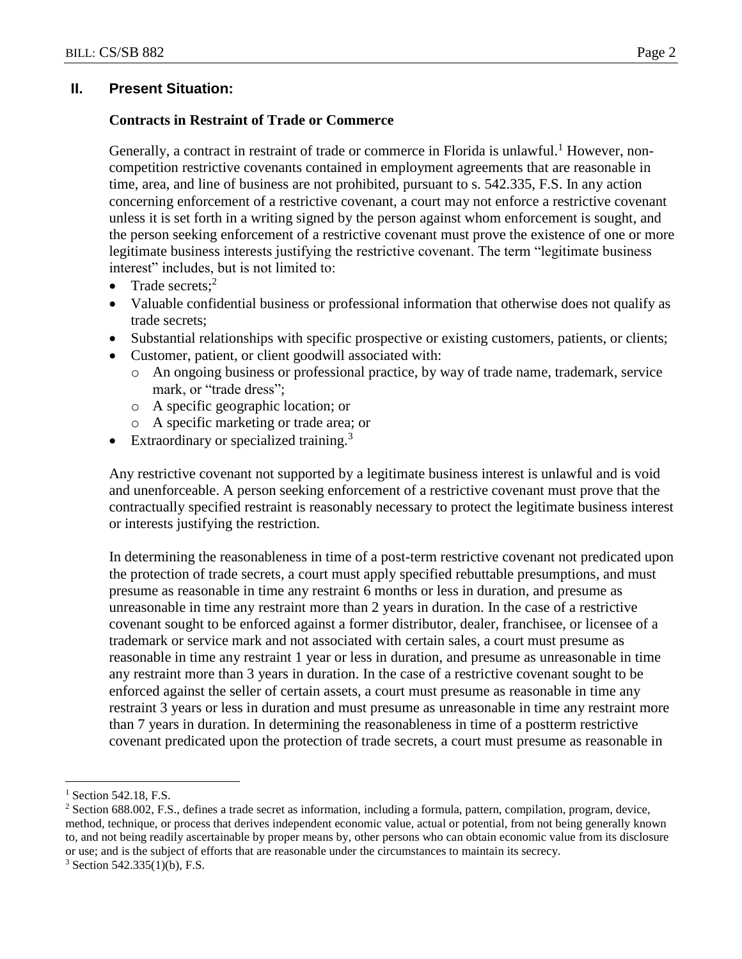## **II. Present Situation:**

### **Contracts in Restraint of Trade or Commerce**

Generally, a contract in restraint of trade or commerce in Florida is unlawful.<sup>1</sup> However, noncompetition restrictive covenants contained in employment agreements that are reasonable in time, area, and line of business are not prohibited, pursuant to s. 542.335, F.S. In any action concerning enforcement of a restrictive covenant, a court may not enforce a restrictive covenant unless it is set forth in a writing signed by the person against whom enforcement is sought, and the person seeking enforcement of a restrictive covenant must prove the existence of one or more legitimate business interests justifying the restrictive covenant. The term "legitimate business interest" includes, but is not limited to:

- Trade secrets; $2$
- Valuable confidential business or professional information that otherwise does not qualify as trade secrets;
- Substantial relationships with specific prospective or existing customers, patients, or clients;
- Customer, patient, or client goodwill associated with:
	- o An ongoing business or professional practice, by way of trade name, trademark, service mark, or "trade dress";
	- o A specific geographic location; or
	- o A specific marketing or trade area; or
- Extraordinary or specialized training.<sup>3</sup>

Any restrictive covenant not supported by a legitimate business interest is unlawful and is void and unenforceable. A person seeking enforcement of a restrictive covenant must prove that the contractually specified restraint is reasonably necessary to protect the legitimate business interest or interests justifying the restriction.

In determining the reasonableness in time of a post-term restrictive covenant not predicated upon the protection of trade secrets, a court must apply specified rebuttable presumptions, and must presume as reasonable in time any restraint 6 months or less in duration, and presume as unreasonable in time any restraint more than 2 years in duration. In the case of a restrictive covenant sought to be enforced against a former distributor, dealer, franchisee, or licensee of a trademark or service mark and not associated with certain sales, a court must presume as reasonable in time any restraint 1 year or less in duration, and presume as unreasonable in time any restraint more than 3 years in duration. In the case of a restrictive covenant sought to be enforced against the seller of certain assets, a court must presume as reasonable in time any restraint 3 years or less in duration and must presume as unreasonable in time any restraint more than 7 years in duration. In determining the reasonableness in time of a postterm restrictive covenant predicated upon the protection of trade secrets, a court must presume as reasonable in

 $\overline{a}$ 

 $1$  Section 542.18, F.S.

<sup>2</sup> Section 688.002, F.S., defines a trade secret as information, including a formula, pattern, compilation, program, device, method, technique, or process that derives independent economic value, actual or potential, from not being generally known to, and not being readily ascertainable by proper means by, other persons who can obtain economic value from its disclosure or use; and is the subject of efforts that are reasonable under the circumstances to maintain its secrecy.

 $3$  Section 542.335(1)(b), F.S.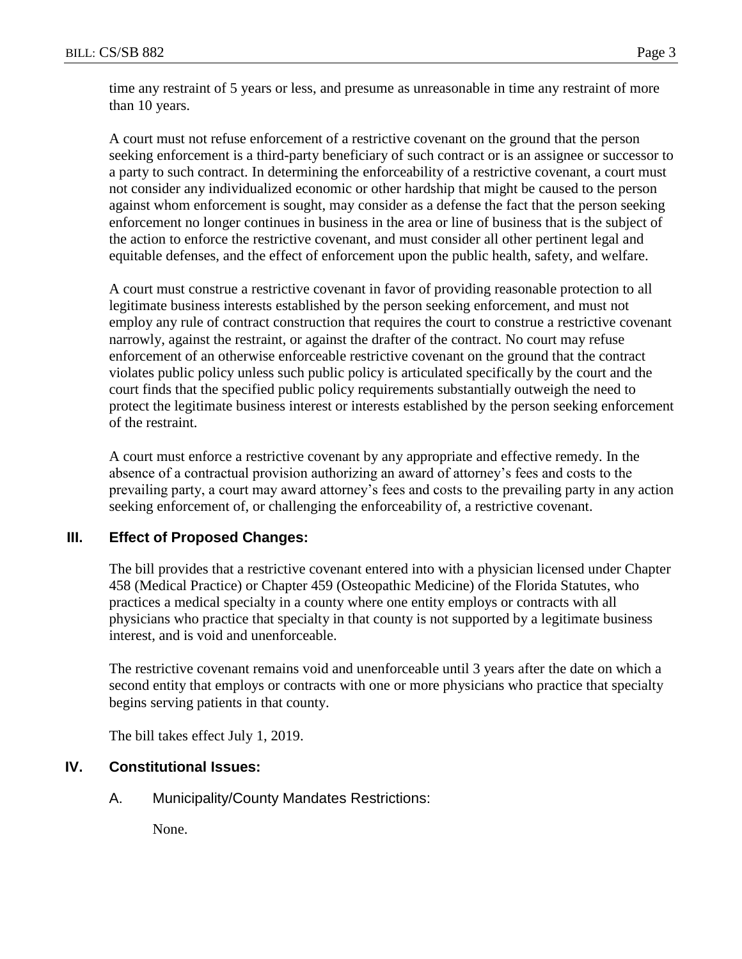time any restraint of 5 years or less, and presume as unreasonable in time any restraint of more than 10 years.

A court must not refuse enforcement of a restrictive covenant on the ground that the person seeking enforcement is a third-party beneficiary of such contract or is an assignee or successor to a party to such contract. In determining the enforceability of a restrictive covenant, a court must not consider any individualized economic or other hardship that might be caused to the person against whom enforcement is sought, may consider as a defense the fact that the person seeking enforcement no longer continues in business in the area or line of business that is the subject of the action to enforce the restrictive covenant, and must consider all other pertinent legal and equitable defenses, and the effect of enforcement upon the public health, safety, and welfare.

A court must construe a restrictive covenant in favor of providing reasonable protection to all legitimate business interests established by the person seeking enforcement, and must not employ any rule of contract construction that requires the court to construe a restrictive covenant narrowly, against the restraint, or against the drafter of the contract. No court may refuse enforcement of an otherwise enforceable restrictive covenant on the ground that the contract violates public policy unless such public policy is articulated specifically by the court and the court finds that the specified public policy requirements substantially outweigh the need to protect the legitimate business interest or interests established by the person seeking enforcement of the restraint.

A court must enforce a restrictive covenant by any appropriate and effective remedy. In the absence of a contractual provision authorizing an award of attorney's fees and costs to the prevailing party, a court may award attorney's fees and costs to the prevailing party in any action seeking enforcement of, or challenging the enforceability of, a restrictive covenant.

## **III. Effect of Proposed Changes:**

The bill provides that a restrictive covenant entered into with a physician licensed under Chapter 458 (Medical Practice) or Chapter 459 (Osteopathic Medicine) of the Florida Statutes, who practices a medical specialty in a county where one entity employs or contracts with all physicians who practice that specialty in that county is not supported by a legitimate business interest, and is void and unenforceable.

The restrictive covenant remains void and unenforceable until 3 years after the date on which a second entity that employs or contracts with one or more physicians who practice that specialty begins serving patients in that county.

The bill takes effect July 1, 2019.

## **IV. Constitutional Issues:**

A. Municipality/County Mandates Restrictions:

None.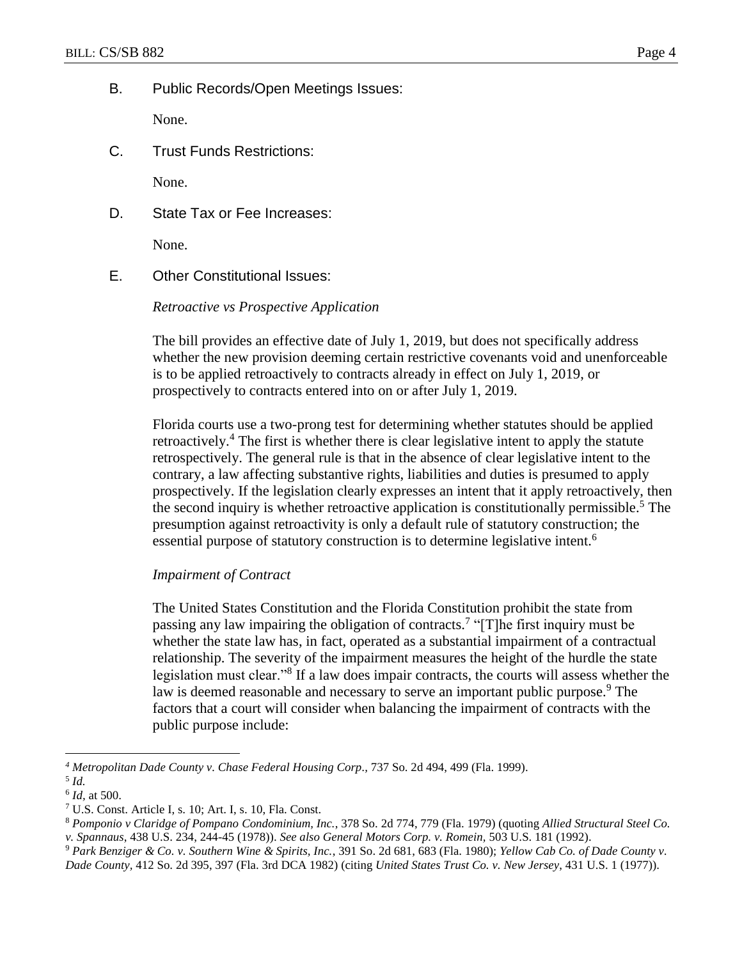B. Public Records/Open Meetings Issues:

None.

C. Trust Funds Restrictions:

None.

D. State Tax or Fee Increases:

None.

E. Other Constitutional Issues:

### *Retroactive vs Prospective Application*

The bill provides an effective date of July 1, 2019, but does not specifically address whether the new provision deeming certain restrictive covenants void and unenforceable is to be applied retroactively to contracts already in effect on July 1, 2019, or prospectively to contracts entered into on or after July 1, 2019.

Florida courts use a two-prong test for determining whether statutes should be applied retroactively.<sup>4</sup> The first is whether there is clear legislative intent to apply the statute retrospectively. The general rule is that in the absence of clear legislative intent to the contrary, a law affecting substantive rights, liabilities and duties is presumed to apply prospectively. If the legislation clearly expresses an intent that it apply retroactively, then the second inquiry is whether retroactive application is constitutionally permissible.<sup>5</sup> The presumption against retroactivity is only a default rule of statutory construction; the essential purpose of statutory construction is to determine legislative intent.<sup>6</sup>

### *Impairment of Contract*

The United States Constitution and the Florida Constitution prohibit the state from passing any law impairing the obligation of contracts.<sup>7</sup> "[T]he first inquiry must be whether the state law has, in fact, operated as a substantial impairment of a contractual relationship. The severity of the impairment measures the height of the hurdle the state legislation must clear."<sup>8</sup> If a law does impair contracts, the courts will assess whether the law is deemed reasonable and necessary to serve an important public purpose.<sup>9</sup> The factors that a court will consider when balancing the impairment of contracts with the public purpose include:

 $\overline{a}$ 

*<sup>4</sup> Metropolitan Dade County v. Chase Federal Housing Corp.,* 737 So. 2d 494, 499 (Fla. 1999).

<sup>5</sup> *Id.*

<sup>6</sup> *Id,* at 500.

<sup>7</sup> U.S. Const. Article I, s. 10; Art. I, s. 10, Fla. Const.

<sup>8</sup> *Pomponio v Claridge of Pompano Condominium, Inc.*, 378 So. 2d 774, 779 (Fla. 1979) (quoting *Allied Structural Steel Co. v. Spannaus*, 438 U.S. 234, 244-45 (1978)). *See also General Motors Corp. v. Romein,* 503 U.S. 181 (1992).

<sup>9</sup> *Park Benziger & Co. v. Southern Wine & Spirits, Inc.*, 391 So. 2d 681, 683 (Fla. 1980); *Yellow Cab Co. of Dade County v. Dade County,* 412 So. 2d 395, 397 (Fla. 3rd DCA 1982) (citing *United States Trust Co. v. New Jersey*, 431 U.S. 1 (1977)).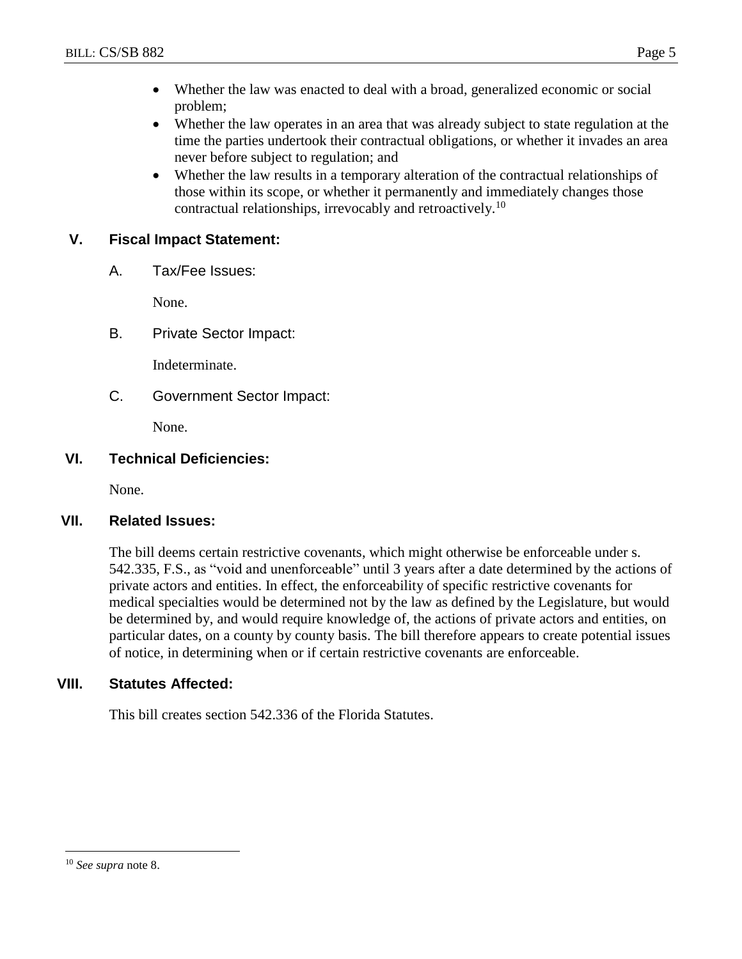- Whether the law was enacted to deal with a broad, generalized economic or social problem;
- Whether the law operates in an area that was already subject to state regulation at the time the parties undertook their contractual obligations, or whether it invades an area never before subject to regulation; and
- Whether the law results in a temporary alteration of the contractual relationships of those within its scope, or whether it permanently and immediately changes those contractual relationships, irrevocably and retroactively.<sup>10</sup>

## **V. Fiscal Impact Statement:**

A. Tax/Fee Issues:

None.

B. Private Sector Impact:

Indeterminate.

C. Government Sector Impact:

None.

## **VI. Technical Deficiencies:**

None.

## **VII. Related Issues:**

The bill deems certain restrictive covenants, which might otherwise be enforceable under s. 542.335, F.S., as "void and unenforceable" until 3 years after a date determined by the actions of private actors and entities. In effect, the enforceability of specific restrictive covenants for medical specialties would be determined not by the law as defined by the Legislature, but would be determined by, and would require knowledge of, the actions of private actors and entities, on particular dates, on a county by county basis. The bill therefore appears to create potential issues of notice, in determining when or if certain restrictive covenants are enforceable.

## **VIII. Statutes Affected:**

This bill creates section 542.336 of the Florida Statutes.

 $\overline{a}$ 

<sup>10</sup> *See supra* note 8.